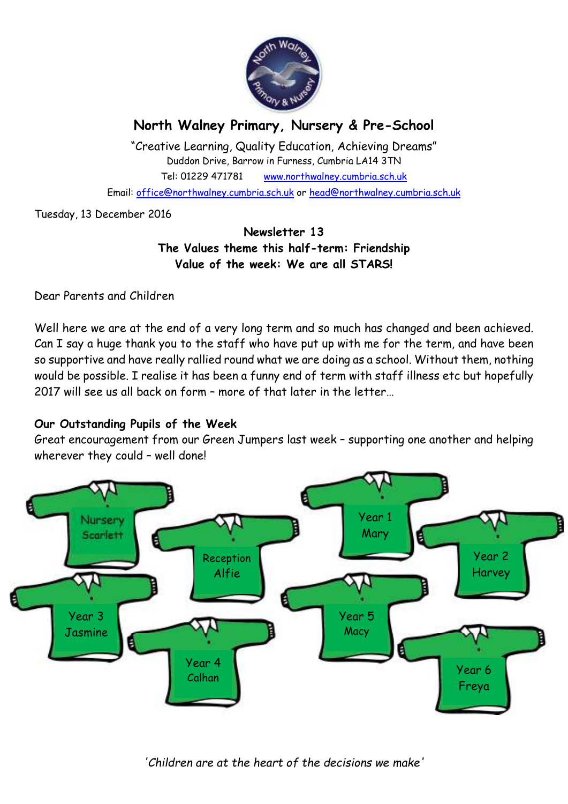

# **North Walney Primary, Nursery & Pre-School**

"Creative Learning, Quality Education, Achieving Dreams" Duddon Drive, Barrow in Furness, Cumbria LA14 3TN Tel: 01229 471781 www.northwalney.cumbria.sch.uk Email: office@northwalney.cumbria.sch.uk or head@northwalney.cumbria.sch.uk

Tuesday, 13 December 2016

## **Newsletter 13 The Values theme this half-term: Friendship Value of the week: We are all STARS!**

Dear Parents and Children

Well here we are at the end of a very long term and so much has changed and been achieved. Can I say a huge thank you to the staff who have put up with me for the term, and have been so supportive and have really rallied round what we are doing as a school. Without them, nothing would be possible. I realise it has been a funny end of term with staff illness etc but hopefully 2017 will see us all back on form – more of that later in the letter…

# **Our Outstanding Pupils of the Week**

Great encouragement from our Green Jumpers last week – supporting one another and helping wherever they could – well done!



*'Children are at the heart of the decisions we make'*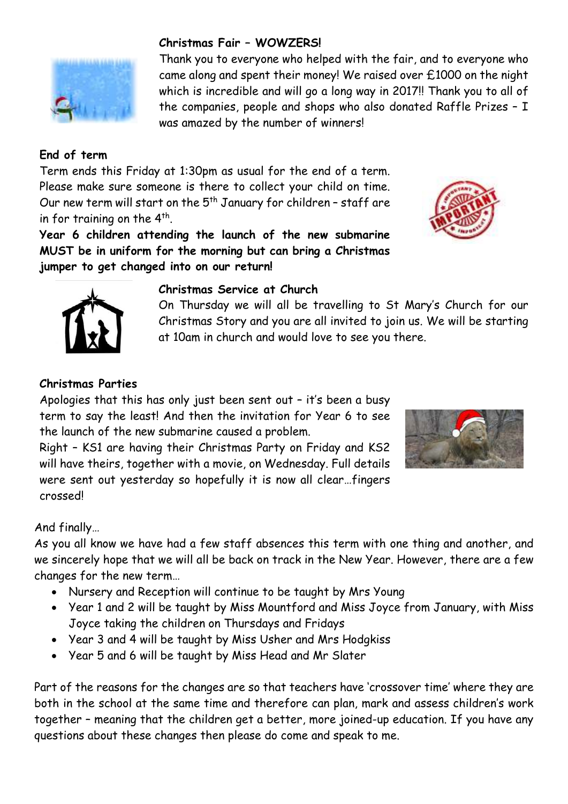# **Christmas Fair – WOWZERS!**



Thank you to everyone who helped with the fair, and to everyone who came along and spent their money! We raised over £1000 on the night which is incredible and will go a long way in 2017!! Thank you to all of the companies, people and shops who also donated Raffle Prizes – I was amazed by the number of winners!

#### **End of term**

Term ends this Friday at 1:30pm as usual for the end of a term. Please make sure someone is there to collect your child on time. Our new term will start on the  $5<sup>th</sup>$  January for children - staff are in for training on the  $4^{\text{th}}$ .

**Year 6 children attending the launch of the new submarine MUST be in uniform for the morning but can bring a Christmas jumper to get changed into on our return!** 





#### **Christmas Service at Church**

On Thursday we will all be travelling to St Mary's Church for our Christmas Story and you are all invited to join us. We will be starting at 10am in church and would love to see you there.

#### **Christmas Parties**

Apologies that this has only just been sent out – it's been a busy term to say the least! And then the invitation for Year 6 to see the launch of the new submarine caused a problem.

Right – KS1 are having their Christmas Party on Friday and KS2 will have theirs, together with a movie, on Wednesday. Full details were sent out yesterday so hopefully it is now all clear…fingers crossed!



And finally…

As you all know we have had a few staff absences this term with one thing and another, and we sincerely hope that we will all be back on track in the New Year. However, there are a few changes for the new term…

- Nursery and Reception will continue to be taught by Mrs Young
- Year 1 and 2 will be taught by Miss Mountford and Miss Joyce from January, with Miss Joyce taking the children on Thursdays and Fridays
- Year 3 and 4 will be taught by Miss Usher and Mrs Hodgkiss
- Year 5 and 6 will be taught by Miss Head and Mr Slater

Part of the reasons for the changes are so that teachers have 'crossover time' where they are both in the school at the same time and therefore can plan, mark and assess children's work together – meaning that the children get a better, more joined-up education. If you have any questions about these changes then please do come and speak to me.